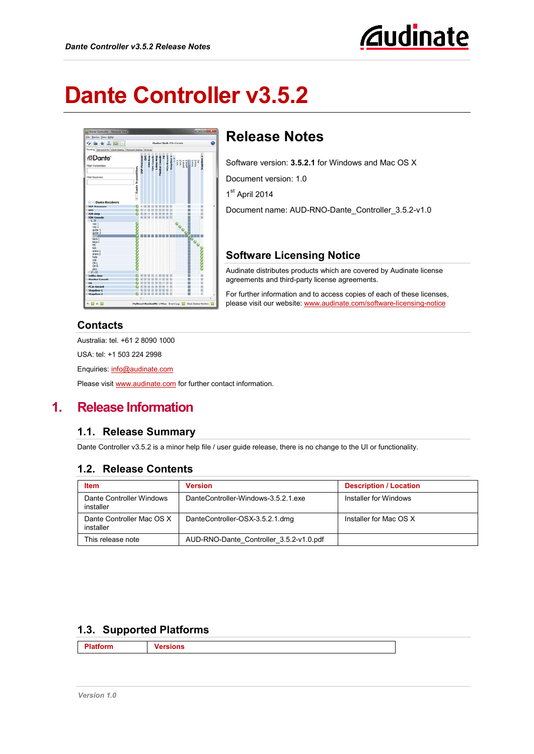

# **Dante Controller v3.5.2**



# **Release Notes**

Software version: **3.5.2.1** for Windows and Mac OS X

Document version: 1.0

1st April 2014

Document name: AUD-RNO-Dante\_Controller\_3.5.2-v1.0

## **Software Licensing Notice**

Audinate distributes products which are covered by Audinate license agreements and third-party license agreements.

For further information and to access copies of each of these licenses, please visit our website: [www.audinate.com/software-licensing-notice](http://www.audinate.com/software-licensing-notice)

#### **Contacts**

Australia: tel. +61 2 8090 1000

USA: tel: +1 503 224 2998

Enquiries: [info@audinate.com](mailto:info@audinate.com)

Please visit [www.audinate.com](http://www.audinate.com/) for further contact information.

# **1. Release Information**

## **1.1. Release Summary**

Dante Controller v3.5.2 is a minor help file / user guide release, there is no change to the UI or functionality.

## **1.2. Release Contents**

| <b>Item</b>                            | <b>Version</b>                          | <b>Description / Location</b> |
|----------------------------------------|-----------------------------------------|-------------------------------|
| Dante Controller Windows<br>installer  | DanteController-Windows-3.5.2.1 exe     | Installer for Windows         |
| Dante Controller Mac OS X<br>installer | DanteController-OSX-3.5.2.1.dmg         | Installer for Mac OS X        |
| This release note                      | AUD-RNO-Dante Controller 3.5.2-v1.0.pdf |                               |

## <span id="page-0-0"></span>**1.3. Supported Platforms**

**Platform Versions**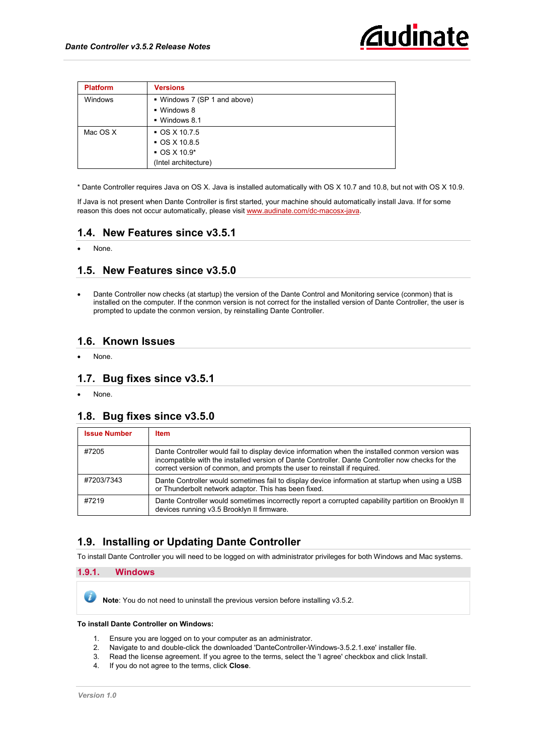

| <b>Platform</b> | <b>Versions</b>              |
|-----------------|------------------------------|
| Windows         | ■ Windows 7 (SP 1 and above) |
|                 | • Windows 8                  |
|                 | ■ Windows 8.1                |
| Mac OS X        | $\bullet$ OS X 10.7.5        |
|                 | $\bullet$ OS X 10.8.5        |
|                 | $\bullet$ OS X 10.9*         |
|                 | (Intel architecture)         |

\* Dante Controller requires Java on OS X. Java is installed automatically with OS X 10.7 and 10.8, but not with OS X 10.9.

If Java is not present when Dante Controller is first started, your machine should automatically install Java. If for some reason this does not occur automatically, please visi[t www.audinate.com/dc-macosx-java.](http://www.audinate.com/dc-macosx-java)

#### **1.4. New Features since v3.5.1**

None.

#### **1.5. New Features since v3.5.0**

• Dante Controller now checks (at startup) the version of the Dante Control and Monitoring service (conmon) that is installed on the computer. If the conmon version is not correct for the installed version of Dante Controller, the user is prompted to update the conmon version, by reinstalling Dante Controller.

#### **1.6. Known Issues**

None.

#### **1.7. Bug fixes since v3.5.1**

None.

#### **1.8. Bug fixes since v3.5.0**

| <b>Issue Number</b> | <b>Item</b>                                                                                                                                                                                                                                                                      |
|---------------------|----------------------------------------------------------------------------------------------------------------------------------------------------------------------------------------------------------------------------------------------------------------------------------|
| #7205               | Dante Controller would fail to display device information when the installed conmon version was<br>incompatible with the installed version of Dante Controller. Dante Controller now checks for the<br>correct version of conmon, and prompts the user to reinstall if required. |
| #7203/7343          | Dante Controller would sometimes fail to display device information at startup when using a USB<br>or Thunderbolt network adaptor. This has been fixed.                                                                                                                          |
| #7219               | Dante Controller would sometimes incorrectly report a corrupted capability partition on Brooklyn II<br>devices running v3.5 Brooklyn II firmware.                                                                                                                                |

## **1.9. Installing or Updating Dante Controller**

To install Dante Controller you will need to be logged on with administrator privileges for both Windows and Mac systems.

#### **1.9.1. Windows**

**Note**: You do not need to uninstall the previous version before installing v3.5.2.

**To install Dante Controller on Windows:**

- 1. Ensure you are logged on to your computer as an administrator.
- 2. Navigate to and double-click the downloaded 'DanteController-Windows-3.5.2.1.exe' installer file.
- Read the license agreement. If you agree to the terms, select the 'I agree' checkbox and click Install.
- 4. If you do not agree to the terms, click **Close**.